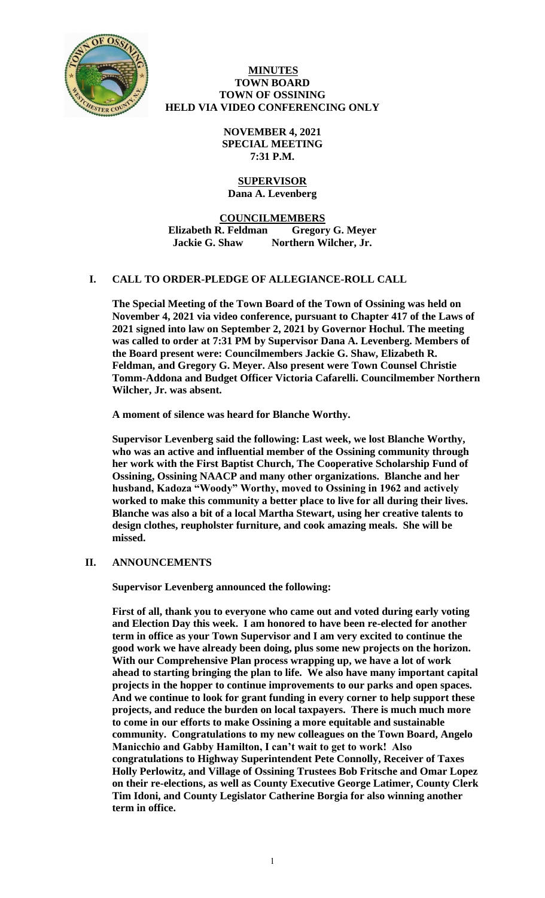

## **MINUTES TOWN BOARD TOWN OF OSSINING HELD VIA VIDEO CONFERENCING ONLY**

**NOVEMBER 4, 2021 SPECIAL MEETING 7:31 P.M.**

## **SUPERVISOR Dana A. Levenberg**

**COUNCILMEMBERS Elizabeth R. Feldman Gregory G. Meyer Jackie G. Shaw Northern Wilcher, Jr.**

# **I. CALL TO ORDER-PLEDGE OF ALLEGIANCE-ROLL CALL**

**The Special Meeting of the Town Board of the Town of Ossining was held on November 4, 2021 via video conference, pursuant to Chapter 417 of the Laws of 2021 signed into law on September 2, 2021 by Governor Hochul. The meeting was called to order at 7:31 PM by Supervisor Dana A. Levenberg. Members of the Board present were: Councilmembers Jackie G. Shaw, Elizabeth R. Feldman, and Gregory G. Meyer. Also present were Town Counsel Christie Tomm-Addona and Budget Officer Victoria Cafarelli. Councilmember Northern Wilcher, Jr. was absent.**

**A moment of silence was heard for Blanche Worthy.**

**Supervisor Levenberg said the following: Last week, we lost Blanche Worthy, who was an active and influential member of the Ossining community through her work with the First Baptist Church, The Cooperative Scholarship Fund of Ossining, Ossining NAACP and many other organizations. Blanche and her husband, Kadoza "Woody" Worthy, moved to Ossining in 1962 and actively worked to make this community a better place to live for all during their lives. Blanche was also a bit of a local Martha Stewart, using her creative talents to design clothes, reupholster furniture, and cook amazing meals. She will be missed.** 

# **II. ANNOUNCEMENTS**

**Supervisor Levenberg announced the following:**

**First of all, thank you to everyone who came out and voted during early voting and Election Day this week. I am honored to have been re-elected for another term in office as your Town Supervisor and I am very excited to continue the good work we have already been doing, plus some new projects on the horizon. With our Comprehensive Plan process wrapping up, we have a lot of work ahead to starting bringing the plan to life. We also have many important capital projects in the hopper to continue improvements to our parks and open spaces. And we continue to look for grant funding in every corner to help support these projects, and reduce the burden on local taxpayers. There is much much more to come in our efforts to make Ossining a more equitable and sustainable community. Congratulations to my new colleagues on the Town Board, Angelo Manicchio and Gabby Hamilton, I can't wait to get to work! Also congratulations to Highway Superintendent Pete Connolly, Receiver of Taxes Holly Perlowitz, and Village of Ossining Trustees Bob Fritsche and Omar Lopez on their re-elections, as well as County Executive George Latimer, County Clerk Tim Idoni, and County Legislator Catherine Borgia for also winning another term in office.**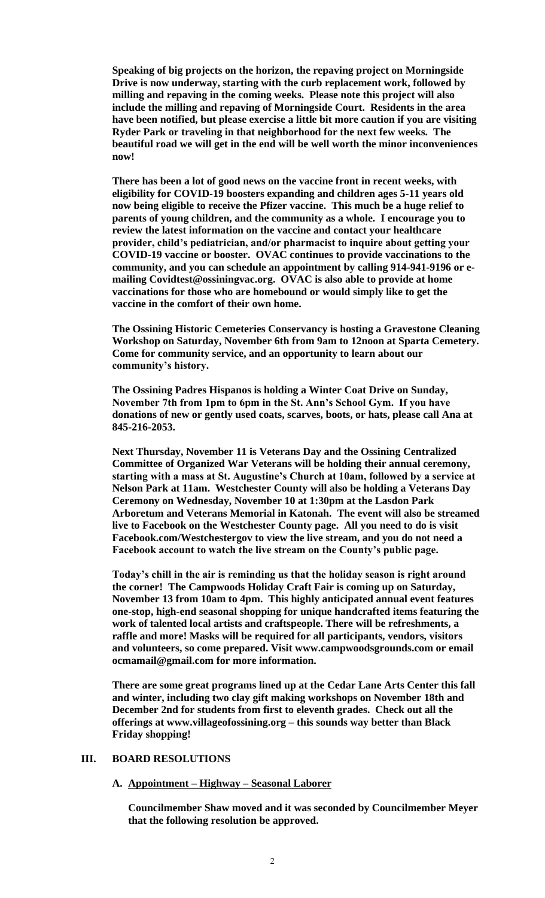**Speaking of big projects on the horizon, the repaving project on Morningside Drive is now underway, starting with the curb replacement work, followed by milling and repaving in the coming weeks. Please note this project will also include the milling and repaving of Morningside Court. Residents in the area have been notified, but please exercise a little bit more caution if you are visiting Ryder Park or traveling in that neighborhood for the next few weeks. The beautiful road we will get in the end will be well worth the minor inconveniences now!** 

**There has been a lot of good news on the vaccine front in recent weeks, with eligibility for COVID-19 boosters expanding and children ages 5-11 years old now being eligible to receive the Pfizer vaccine. This much be a huge relief to parents of young children, and the community as a whole. I encourage you to review the latest information on the vaccine and contact your healthcare provider, child's pediatrician, and/or pharmacist to inquire about getting your COVID-19 vaccine or booster. OVAC continues to provide vaccinations to the community, and you can schedule an appointment by calling 914-941-9196 or emailing Covidtest@ossiningvac.org. OVAC is also able to provide at home vaccinations for those who are homebound or would simply like to get the vaccine in the comfort of their own home.** 

**The Ossining Historic Cemeteries Conservancy is hosting a Gravestone Cleaning Workshop on Saturday, November 6th from 9am to 12noon at Sparta Cemetery. Come for community service, and an opportunity to learn about our community's history.** 

**The Ossining Padres Hispanos is holding a Winter Coat Drive on Sunday, November 7th from 1pm to 6pm in the St. Ann's School Gym. If you have donations of new or gently used coats, scarves, boots, or hats, please call Ana at 845-216-2053.** 

**Next Thursday, November 11 is Veterans Day and the Ossining Centralized Committee of Organized War Veterans will be holding their annual ceremony, starting with a mass at St. Augustine's Church at 10am, followed by a service at Nelson Park at 11am. Westchester County will also be holding a Veterans Day Ceremony on Wednesday, November 10 at 1:30pm at the Lasdon Park Arboretum and Veterans Memorial in Katonah. The event will also be streamed live to Facebook on the Westchester County page. All you need to do is visit Facebook.com/Westchestergov to view the live stream, and you do not need a Facebook account to watch the live stream on the County's public page.** 

**Today's chill in the air is reminding us that the holiday season is right around the corner! The Campwoods Holiday Craft Fair is coming up on Saturday, November 13 from 10am to 4pm. This highly anticipated annual event features one-stop, high-end seasonal shopping for unique handcrafted items featuring the work of talented local artists and craftspeople. There will be refreshments, a raffle and more! Masks will be required for all participants, vendors, visitors and volunteers, so come prepared. Visit www.campwoodsgrounds.com or email ocmamail@gmail.com for more information.**

**There are some great programs lined up at the Cedar Lane Arts Center this fall and winter, including two clay gift making workshops on November 18th and December 2nd for students from first to eleventh grades. Check out all the offerings at www.villageofossining.org – this sounds way better than Black Friday shopping!**

# **III. BOARD RESOLUTIONS**

#### **A. Appointment – Highway – Seasonal Laborer**

**Councilmember Shaw moved and it was seconded by Councilmember Meyer that the following resolution be approved.**